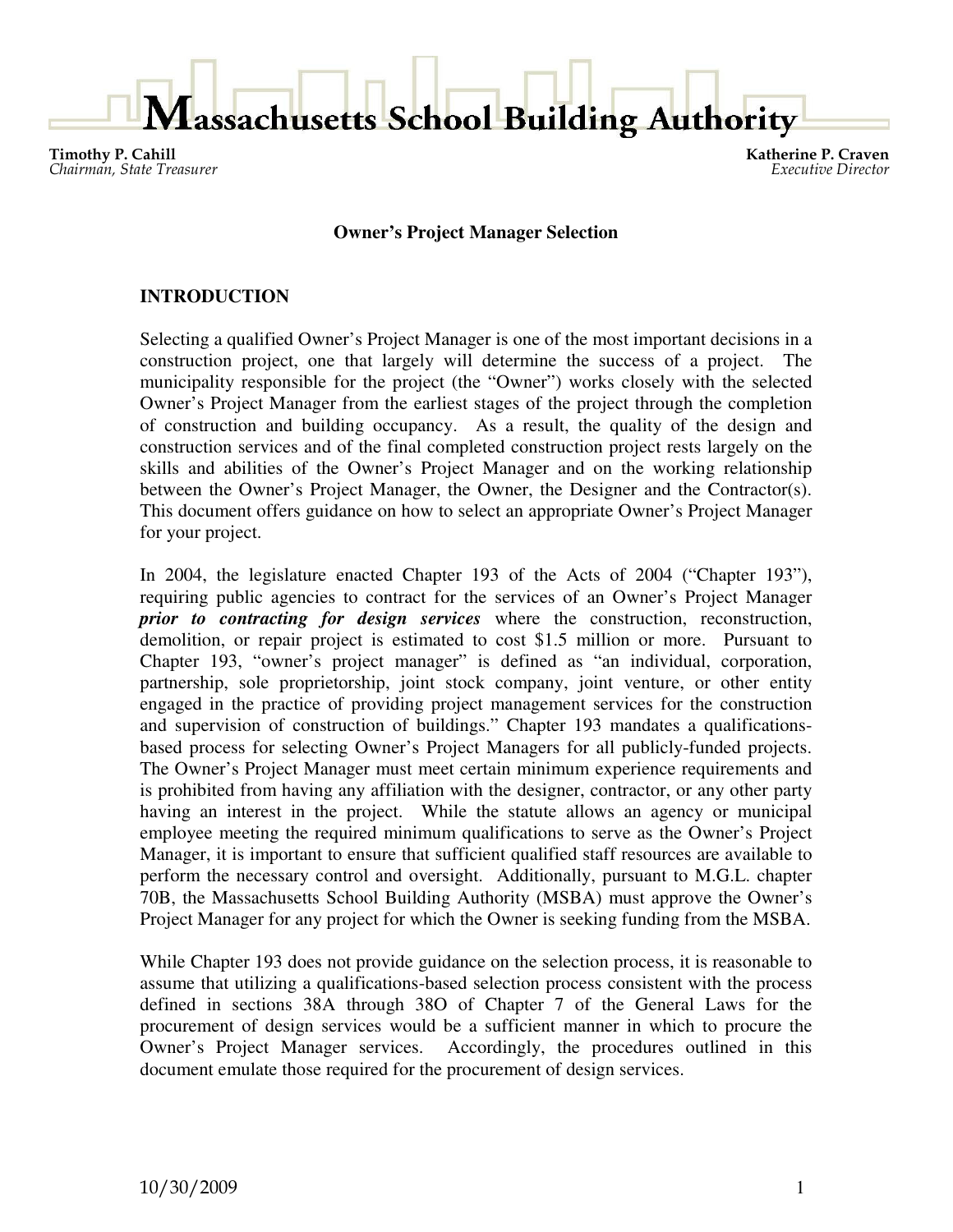assachusetts School Building Authority

**Timothy P. Cahill Katherine P. Craven**<br>Chairman, State Treasurer **Chairman**, State Treasurer **Chairman**, State Treasurer **Chairman**, State Treasurer **Chairman** Chairman, State Treasurer

#### **Owner's Project Manager Selection**

## **INTRODUCTION**

Selecting a qualified Owner's Project Manager is one of the most important decisions in a construction project, one that largely will determine the success of a project. The municipality responsible for the project (the "Owner") works closely with the selected Owner's Project Manager from the earliest stages of the project through the completion of construction and building occupancy. As a result, the quality of the design and construction services and of the final completed construction project rests largely on the skills and abilities of the Owner's Project Manager and on the working relationship between the Owner's Project Manager, the Owner, the Designer and the Contractor(s). This document offers guidance on how to select an appropriate Owner's Project Manager for your project.

In 2004, the legislature enacted Chapter 193 of the Acts of 2004 ("Chapter 193"), requiring public agencies to contract for the services of an Owner's Project Manager *prior to contracting for design services* where the construction, reconstruction, demolition, or repair project is estimated to cost \$1.5 million or more. Pursuant to Chapter 193, "owner's project manager" is defined as "an individual, corporation, partnership, sole proprietorship, joint stock company, joint venture, or other entity engaged in the practice of providing project management services for the construction and supervision of construction of buildings." Chapter 193 mandates a qualificationsbased process for selecting Owner's Project Managers for all publicly-funded projects. The Owner's Project Manager must meet certain minimum experience requirements and is prohibited from having any affiliation with the designer, contractor, or any other party having an interest in the project. While the statute allows an agency or municipal employee meeting the required minimum qualifications to serve as the Owner's Project Manager, it is important to ensure that sufficient qualified staff resources are available to perform the necessary control and oversight. Additionally, pursuant to M.G.L. chapter 70B, the Massachusetts School Building Authority (MSBA) must approve the Owner's Project Manager for any project for which the Owner is seeking funding from the MSBA.

While Chapter 193 does not provide guidance on the selection process, it is reasonable to assume that utilizing a qualifications-based selection process consistent with the process defined in sections 38A through 38O of Chapter 7 of the General Laws for the procurement of design services would be a sufficient manner in which to procure the Owner's Project Manager services. Accordingly, the procedures outlined in this document emulate those required for the procurement of design services.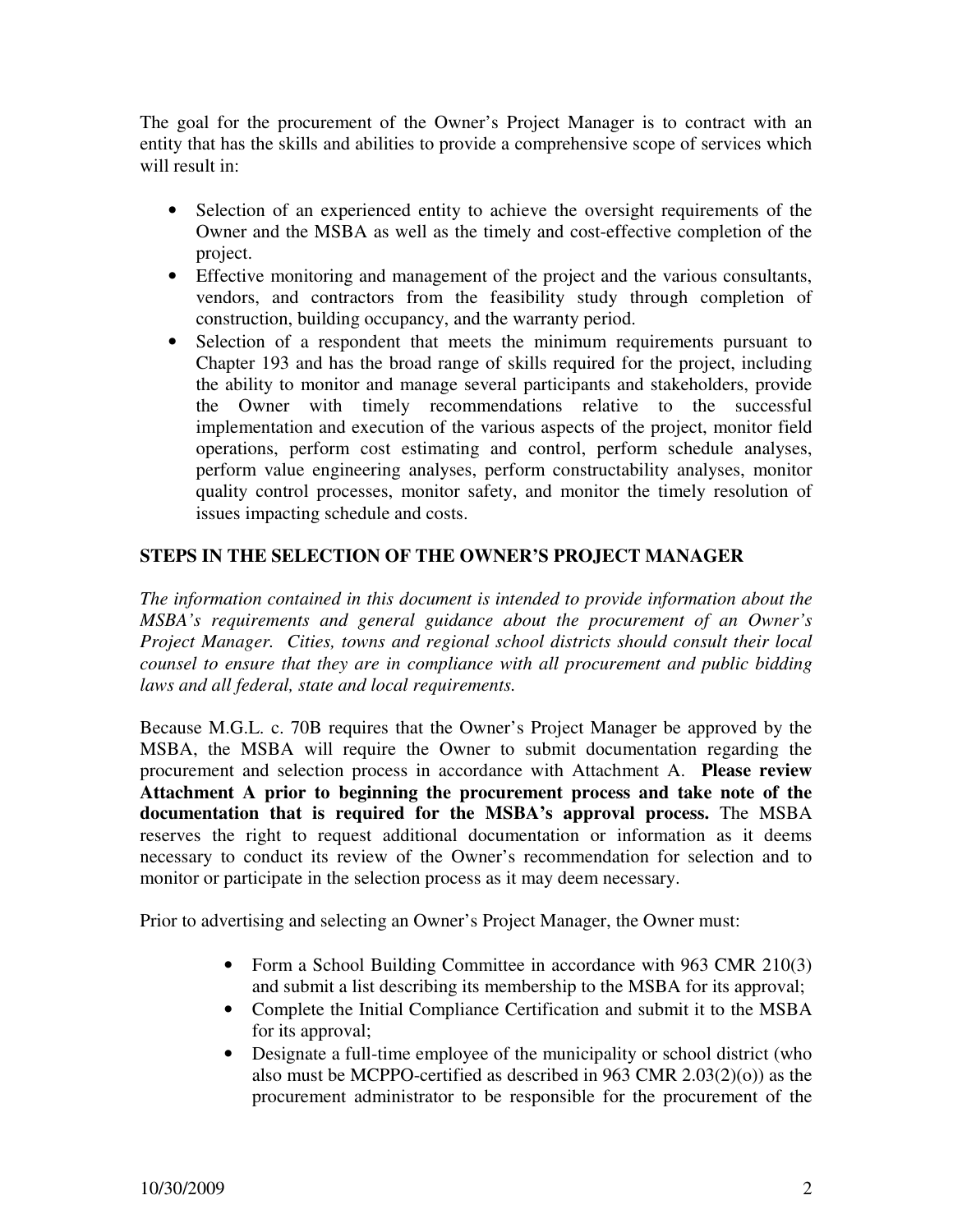The goal for the procurement of the Owner's Project Manager is to contract with an entity that has the skills and abilities to provide a comprehensive scope of services which will result in:

- Selection of an experienced entity to achieve the oversight requirements of the Owner and the MSBA as well as the timely and cost-effective completion of the project.
- Effective monitoring and management of the project and the various consultants, vendors, and contractors from the feasibility study through completion of construction, building occupancy, and the warranty period.
- Selection of a respondent that meets the minimum requirements pursuant to Chapter 193 and has the broad range of skills required for the project, including the ability to monitor and manage several participants and stakeholders, provide the Owner with timely recommendations relative to the successful implementation and execution of the various aspects of the project, monitor field operations, perform cost estimating and control, perform schedule analyses, perform value engineering analyses, perform constructability analyses, monitor quality control processes, monitor safety, and monitor the timely resolution of issues impacting schedule and costs.

# **STEPS IN THE SELECTION OF THE OWNER'S PROJECT MANAGER**

*The information contained in this document is intended to provide information about the MSBA's requirements and general guidance about the procurement of an Owner's Project Manager. Cities, towns and regional school districts should consult their local counsel to ensure that they are in compliance with all procurement and public bidding laws and all federal, state and local requirements.*

Because M.G.L. c. 70B requires that the Owner's Project Manager be approved by the MSBA, the MSBA will require the Owner to submit documentation regarding the procurement and selection process in accordance with Attachment A. **Please review Attachment A prior to beginning the procurement process and take note of the documentation that is required for the MSBA's approval process.** The MSBA reserves the right to request additional documentation or information as it deems necessary to conduct its review of the Owner's recommendation for selection and to monitor or participate in the selection process as it may deem necessary.

Prior to advertising and selecting an Owner's Project Manager, the Owner must:

- Form a School Building Committee in accordance with 963 CMR 210(3) and submit a list describing its membership to the MSBA for its approval;
- Complete the Initial Compliance Certification and submit it to the MSBA for its approval;
- Designate a full-time employee of the municipality or school district (who also must be MCPPO-certified as described in 963 CMR 2.03(2)(o)) as the procurement administrator to be responsible for the procurement of the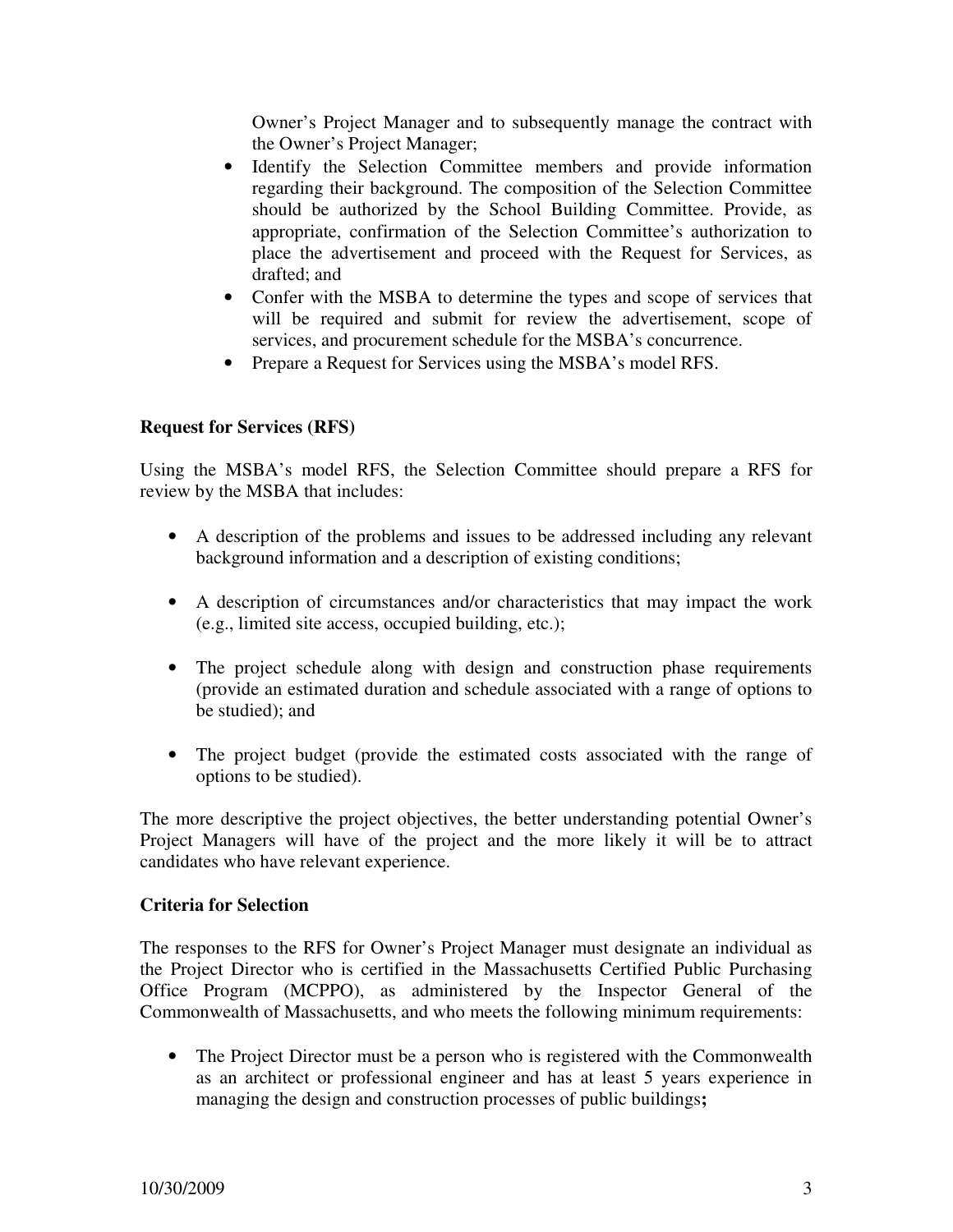Owner's Project Manager and to subsequently manage the contract with the Owner's Project Manager;

- Identify the Selection Committee members and provide information regarding their background. The composition of the Selection Committee should be authorized by the School Building Committee. Provide, as appropriate, confirmation of the Selection Committee's authorization to place the advertisement and proceed with the Request for Services, as drafted; and
- Confer with the MSBA to determine the types and scope of services that will be required and submit for review the advertisement, scope of services, and procurement schedule for the MSBA's concurrence.
- Prepare a Request for Services using the MSBA's model RFS.

# **Request for Services (RFS)**

Using the MSBA's model RFS, the Selection Committee should prepare a RFS for review by the MSBA that includes:

- A description of the problems and issues to be addressed including any relevant background information and a description of existing conditions;
- A description of circumstances and/or characteristics that may impact the work (e.g., limited site access, occupied building, etc.);
- The project schedule along with design and construction phase requirements (provide an estimated duration and schedule associated with a range of options to be studied); and
- The project budget (provide the estimated costs associated with the range of options to be studied).

The more descriptive the project objectives, the better understanding potential Owner's Project Managers will have of the project and the more likely it will be to attract candidates who have relevant experience.

#### **Criteria for Selection**

The responses to the RFS for Owner's Project Manager must designate an individual as the Project Director who is certified in the Massachusetts Certified Public Purchasing Office Program (MCPPO), as administered by the Inspector General of the Commonwealth of Massachusetts, and who meets the following minimum requirements:

• The Project Director must be a person who is registered with the Commonwealth as an architect or professional engineer and has at least 5 years experience in managing the design and construction processes of public buildings**;**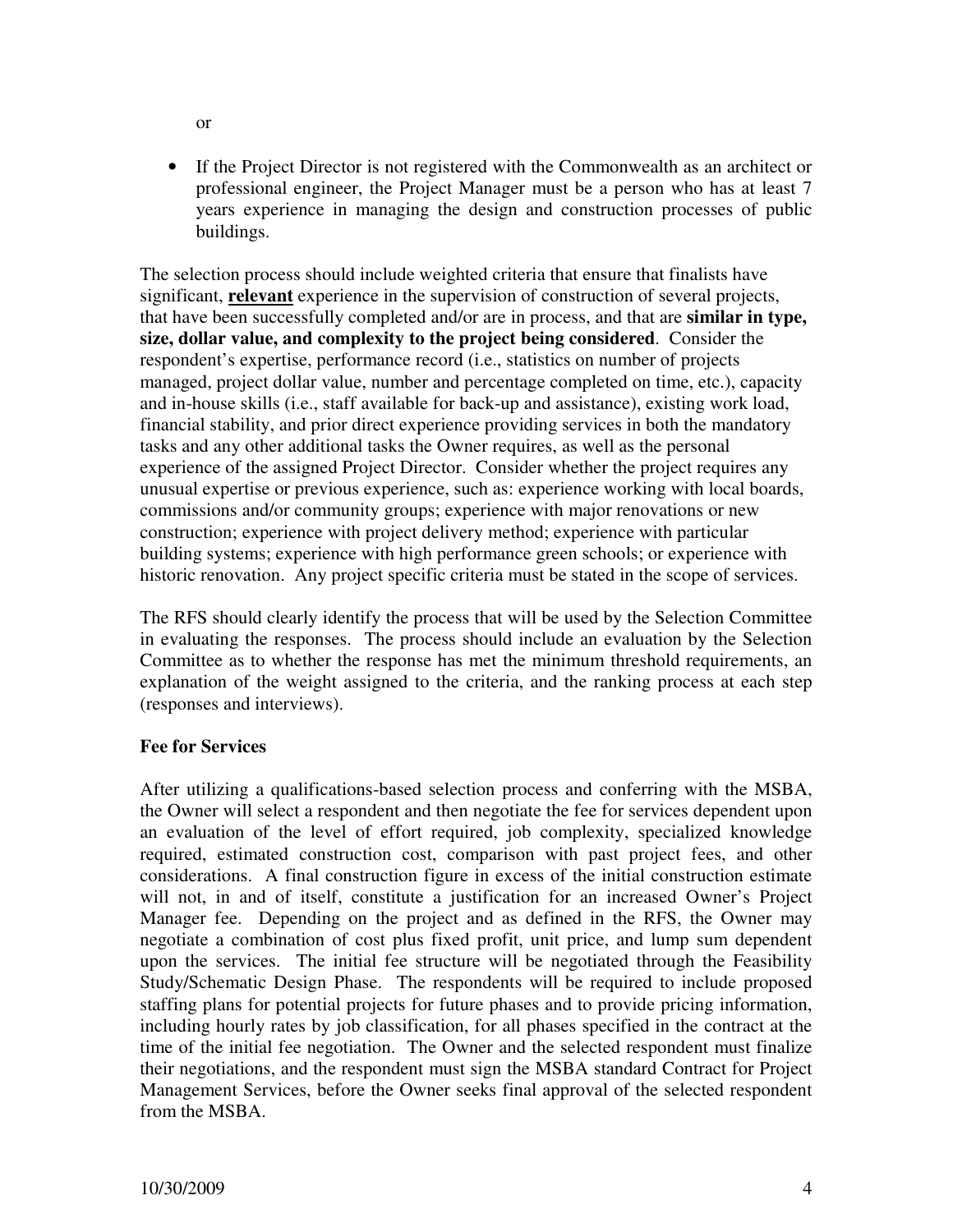• If the Project Director is not registered with the Commonwealth as an architect or professional engineer, the Project Manager must be a person who has at least 7 years experience in managing the design and construction processes of public buildings.

The selection process should include weighted criteria that ensure that finalists have significant, **relevant** experience in the supervision of construction of several projects, that have been successfully completed and/or are in process, and that are **similar in type, size, dollar value, and complexity to the project being considered**. Consider the respondent's expertise, performance record (i.e., statistics on number of projects managed, project dollar value, number and percentage completed on time, etc.), capacity and in-house skills (i.e., staff available for back-up and assistance), existing work load, financial stability, and prior direct experience providing services in both the mandatory tasks and any other additional tasks the Owner requires, as well as the personal experience of the assigned Project Director. Consider whether the project requires any unusual expertise or previous experience, such as: experience working with local boards, commissions and/or community groups; experience with major renovations or new construction; experience with project delivery method; experience with particular building systems; experience with high performance green schools; or experience with historic renovation. Any project specific criteria must be stated in the scope of services.

The RFS should clearly identify the process that will be used by the Selection Committee in evaluating the responses. The process should include an evaluation by the Selection Committee as to whether the response has met the minimum threshold requirements, an explanation of the weight assigned to the criteria, and the ranking process at each step (responses and interviews).

#### **Fee for Services**

After utilizing a qualifications-based selection process and conferring with the MSBA, the Owner will select a respondent and then negotiate the fee for services dependent upon an evaluation of the level of effort required, job complexity, specialized knowledge required, estimated construction cost, comparison with past project fees, and other considerations. A final construction figure in excess of the initial construction estimate will not, in and of itself, constitute a justification for an increased Owner's Project Manager fee. Depending on the project and as defined in the RFS, the Owner may negotiate a combination of cost plus fixed profit, unit price, and lump sum dependent upon the services. The initial fee structure will be negotiated through the Feasibility Study/Schematic Design Phase. The respondents will be required to include proposed staffing plans for potential projects for future phases and to provide pricing information, including hourly rates by job classification, for all phases specified in the contract at the time of the initial fee negotiation. The Owner and the selected respondent must finalize their negotiations, and the respondent must sign the MSBA standard Contract for Project Management Services, before the Owner seeks final approval of the selected respondent from the MSBA.

or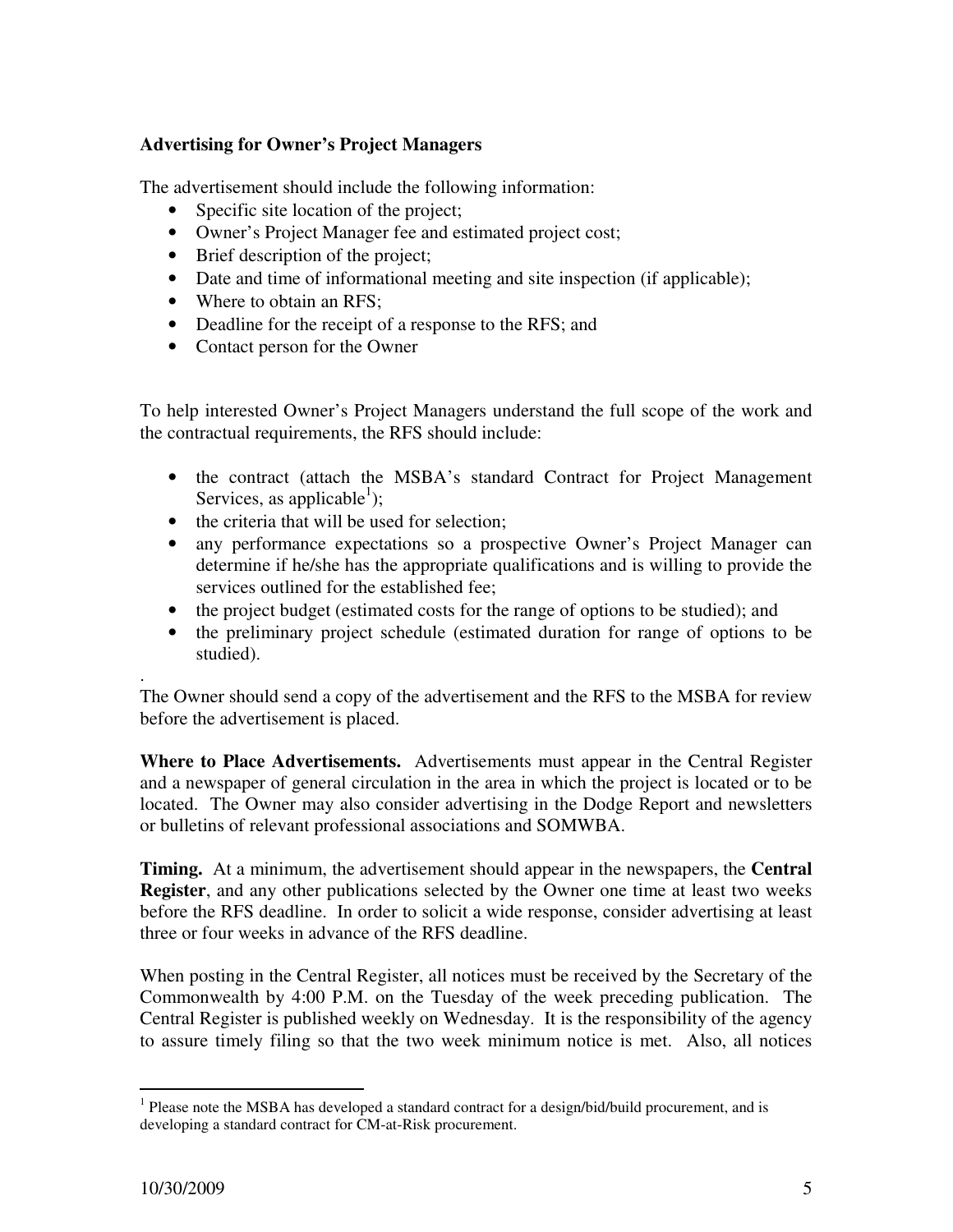## **Advertising for Owner's Project Managers**

The advertisement should include the following information:

- Specific site location of the project;
- Owner's Project Manager fee and estimated project cost;
- Brief description of the project;
- Date and time of informational meeting and site inspection (if applicable);
- Where to obtain an RFS;
- Deadline for the receipt of a response to the RFS; and
- Contact person for the Owner

To help interested Owner's Project Managers understand the full scope of the work and the contractual requirements, the RFS should include:

- the contract (attach the MSBA's standard Contract for Project Management Services, as applicable<sup>1</sup>);
- the criteria that will be used for selection:
- any performance expectations so a prospective Owner's Project Manager can determine if he/she has the appropriate qualifications and is willing to provide the services outlined for the established fee;
- the project budget (estimated costs for the range of options to be studied); and
- the preliminary project schedule (estimated duration for range of options to be studied).

. The Owner should send a copy of the advertisement and the RFS to the MSBA for review before the advertisement is placed.

**Where to Place Advertisements.** Advertisements must appear in the Central Register and a newspaper of general circulation in the area in which the project is located or to be located. The Owner may also consider advertising in the Dodge Report and newsletters or bulletins of relevant professional associations and SOMWBA.

**Timing.** At a minimum, the advertisement should appear in the newspapers, the **Central Register**, and any other publications selected by the Owner one time at least two weeks before the RFS deadline. In order to solicit a wide response, consider advertising at least three or four weeks in advance of the RFS deadline.

When posting in the Central Register, all notices must be received by the Secretary of the Commonwealth by 4:00 P.M. on the Tuesday of the week preceding publication. The Central Register is published weekly on Wednesday. It is the responsibility of the agency to assure timely filing so that the two week minimum notice is met. Also, all notices

<sup>&</sup>lt;sup>1</sup> Please note the MSBA has developed a standard contract for a design/bid/build procurement, and is developing a standard contract for CM-at-Risk procurement.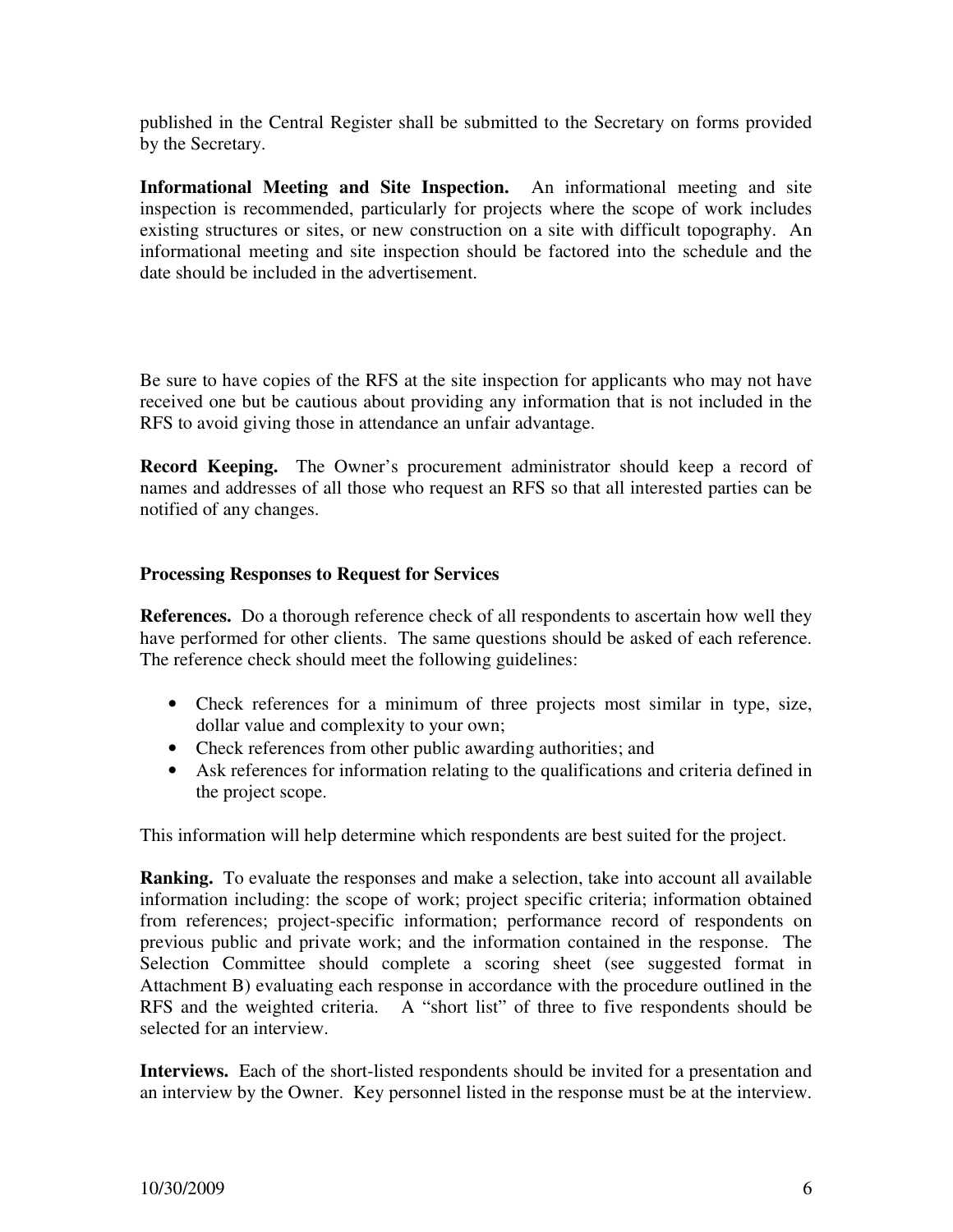published in the Central Register shall be submitted to the Secretary on forms provided by the Secretary.

**Informational Meeting and Site Inspection.** An informational meeting and site inspection is recommended, particularly for projects where the scope of work includes existing structures or sites, or new construction on a site with difficult topography. An informational meeting and site inspection should be factored into the schedule and the date should be included in the advertisement.

Be sure to have copies of the RFS at the site inspection for applicants who may not have received one but be cautious about providing any information that is not included in the RFS to avoid giving those in attendance an unfair advantage.

**Record Keeping.** The Owner's procurement administrator should keep a record of names and addresses of all those who request an RFS so that all interested parties can be notified of any changes.

#### **Processing Responses to Request for Services**

**References.** Do a thorough reference check of all respondents to ascertain how well they have performed for other clients. The same questions should be asked of each reference. The reference check should meet the following guidelines:

- Check references for a minimum of three projects most similar in type, size, dollar value and complexity to your own;
- Check references from other public awarding authorities; and
- Ask references for information relating to the qualifications and criteria defined in the project scope.

This information will help determine which respondents are best suited for the project.

**Ranking.** To evaluate the responses and make a selection, take into account all available information including: the scope of work; project specific criteria; information obtained from references; project-specific information; performance record of respondents on previous public and private work; and the information contained in the response. The Selection Committee should complete a scoring sheet (see suggested format in Attachment B) evaluating each response in accordance with the procedure outlined in the RFS and the weighted criteria. A "short list" of three to five respondents should be selected for an interview.

**Interviews.** Each of the short-listed respondents should be invited for a presentation and an interview by the Owner. Key personnel listed in the response must be at the interview.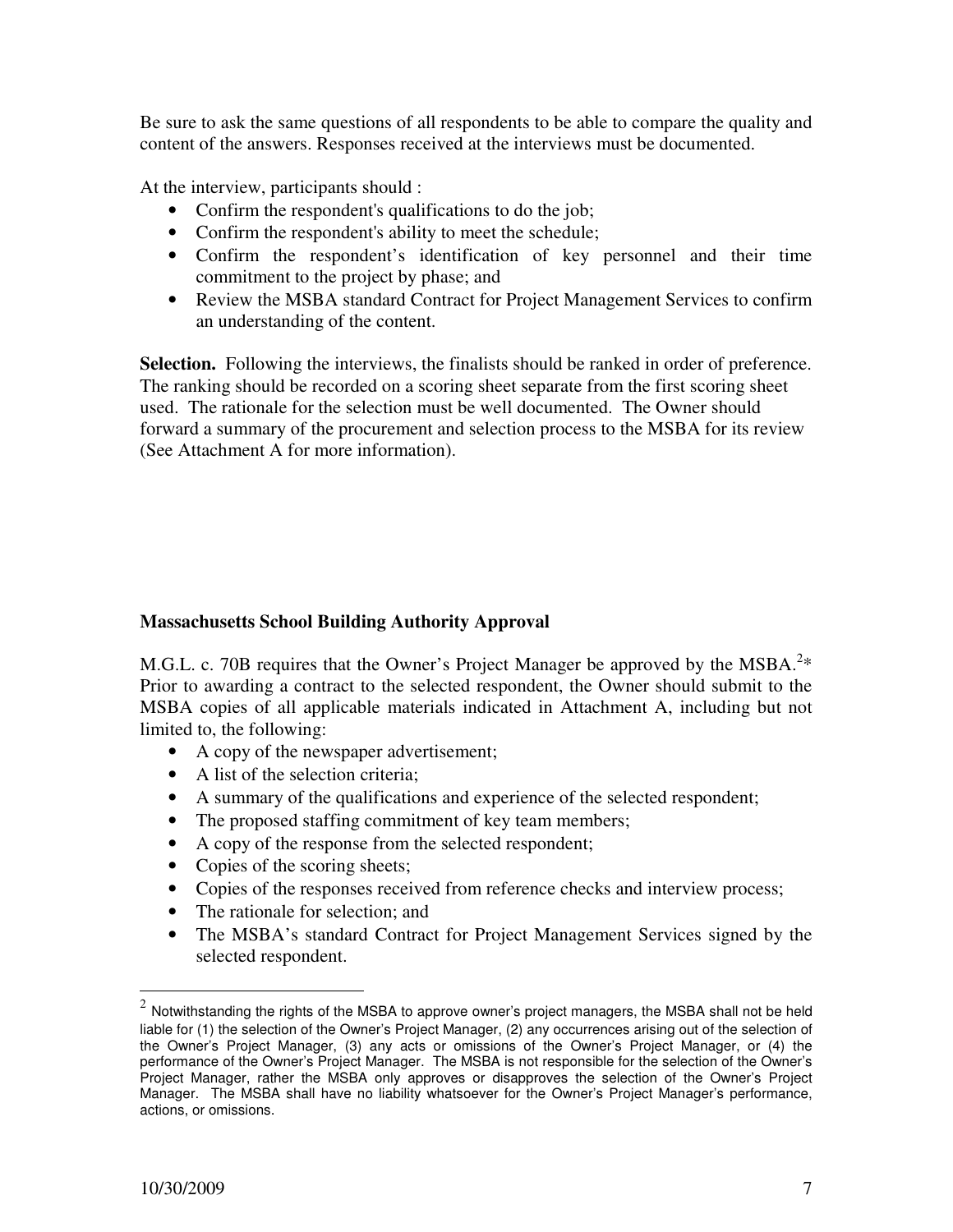Be sure to ask the same questions of all respondents to be able to compare the quality and content of the answers. Responses received at the interviews must be documented.

At the interview, participants should :

- Confirm the respondent's qualifications to do the job;
- Confirm the respondent's ability to meet the schedule:
- Confirm the respondent's identification of key personnel and their time commitment to the project by phase; and
- Review the MSBA standard Contract for Project Management Services to confirm an understanding of the content.

**Selection.** Following the interviews, the finalists should be ranked in order of preference. The ranking should be recorded on a scoring sheet separate from the first scoring sheet used. The rationale for the selection must be well documented. The Owner should forward a summary of the procurement and selection process to the MSBA for its review (See Attachment A for more information).

### **Massachusetts School Building Authority Approval**

M.G.L. c. 70B requires that the Owner's Project Manager be approved by the  $MSBA.^{2*}$ Prior to awarding a contract to the selected respondent, the Owner should submit to the MSBA copies of all applicable materials indicated in Attachment A, including but not limited to, the following:

- A copy of the newspaper advertisement;
- A list of the selection criteria;
- A summary of the qualifications and experience of the selected respondent;
- The proposed staffing commitment of key team members;
- A copy of the response from the selected respondent;
- Copies of the scoring sheets;
- Copies of the responses received from reference checks and interview process;
- The rationale for selection; and
- The MSBA's standard Contract for Project Management Services signed by the selected respondent.

 $\overline{a}^2$  Notwithstanding the rights of the MSBA to approve owner's project managers, the MSBA shall not be held liable for (1) the selection of the Owner's Project Manager, (2) any occurrences arising out of the selection of the Owner's Project Manager, (3) any acts or omissions of the Owner's Project Manager, or (4) the performance of the Owner's Project Manager. The MSBA is not responsible for the selection of the Owner's Project Manager, rather the MSBA only approves or disapproves the selection of the Owner's Project Manager. The MSBA shall have no liability whatsoever for the Owner's Project Manager's performance, actions, or omissions.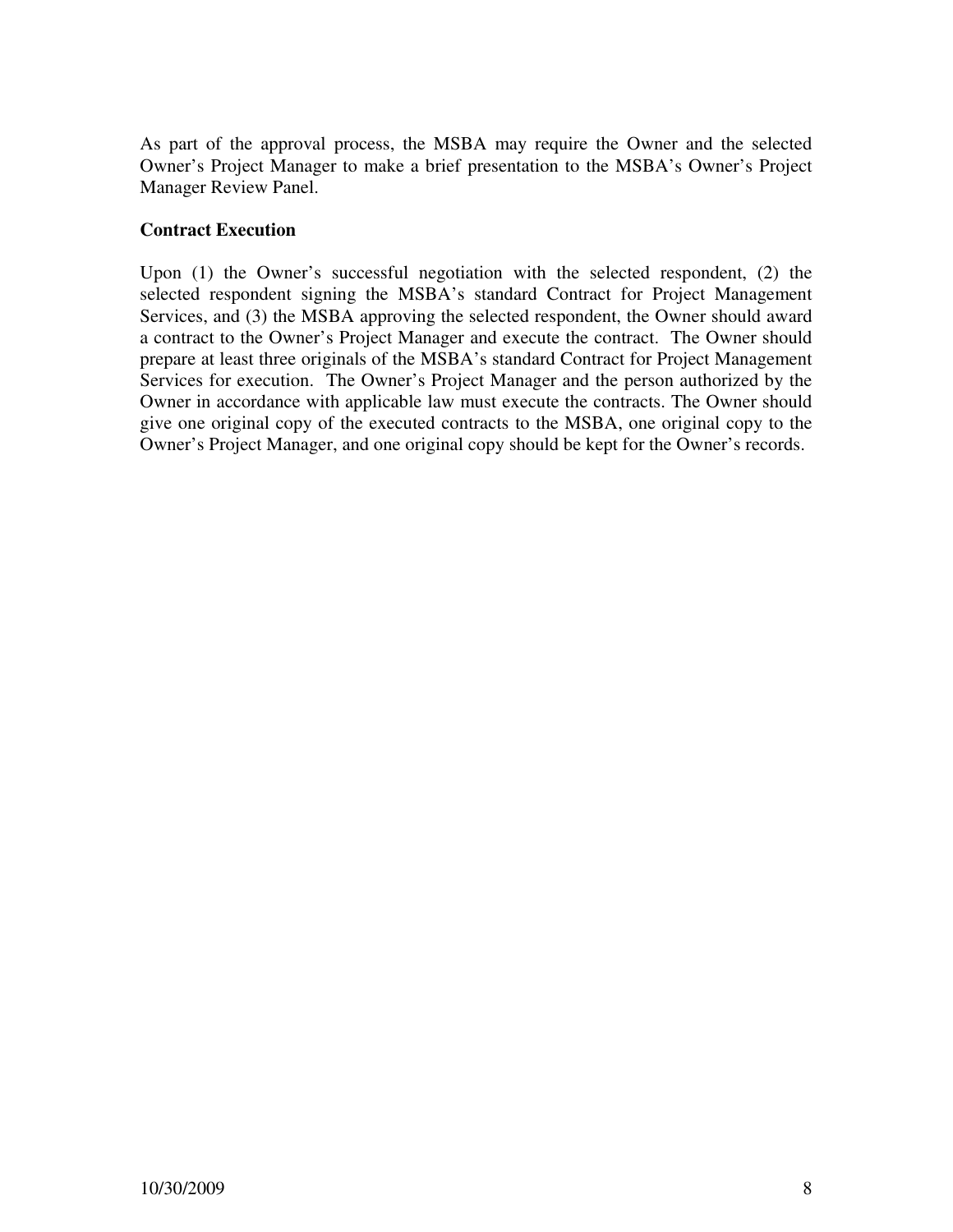As part of the approval process, the MSBA may require the Owner and the selected Owner's Project Manager to make a brief presentation to the MSBA's Owner's Project Manager Review Panel.

### **Contract Execution**

Upon (1) the Owner's successful negotiation with the selected respondent, (2) the selected respondent signing the MSBA's standard Contract for Project Management Services, and (3) the MSBA approving the selected respondent, the Owner should award a contract to the Owner's Project Manager and execute the contract. The Owner should prepare at least three originals of the MSBA's standard Contract for Project Management Services for execution. The Owner's Project Manager and the person authorized by the Owner in accordance with applicable law must execute the contracts. The Owner should give one original copy of the executed contracts to the MSBA, one original copy to the Owner's Project Manager, and one original copy should be kept for the Owner's records.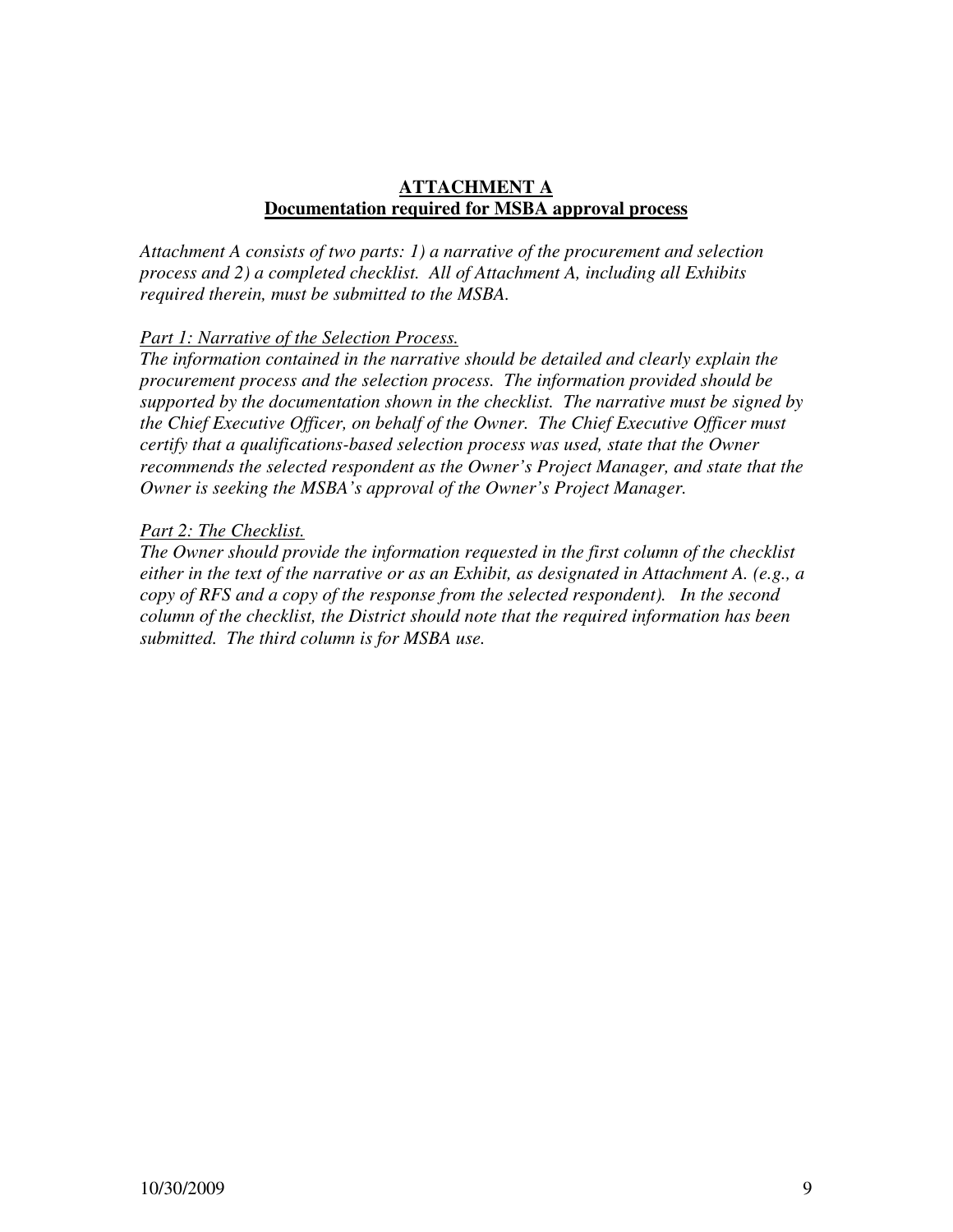### **ATTACHMENT A Documentation required for MSBA approval process**

*Attachment A consists of two parts: 1) a narrative of the procurement and selection process and 2) a completed checklist. All of Attachment A, including all Exhibits required therein, must be submitted to the MSBA.* 

### *Part 1: Narrative of the Selection Process.*

*The information contained in the narrative should be detailed and clearly explain the procurement process and the selection process. The information provided should be supported by the documentation shown in the checklist. The narrative must be signed by the Chief Executive Officer, on behalf of the Owner. The Chief Executive Officer must certify that a qualifications-based selection process was used, state that the Owner recommends the selected respondent as the Owner's Project Manager, and state that the Owner is seeking the MSBA's approval of the Owner's Project Manager.* 

### *Part 2: The Checklist.*

*The Owner should provide the information requested in the first column of the checklist either in the text of the narrative or as an Exhibit, as designated in Attachment A. (e.g., a copy of RFS and a copy of the response from the selected respondent). In the second column of the checklist, the District should note that the required information has been submitted. The third column is for MSBA use.*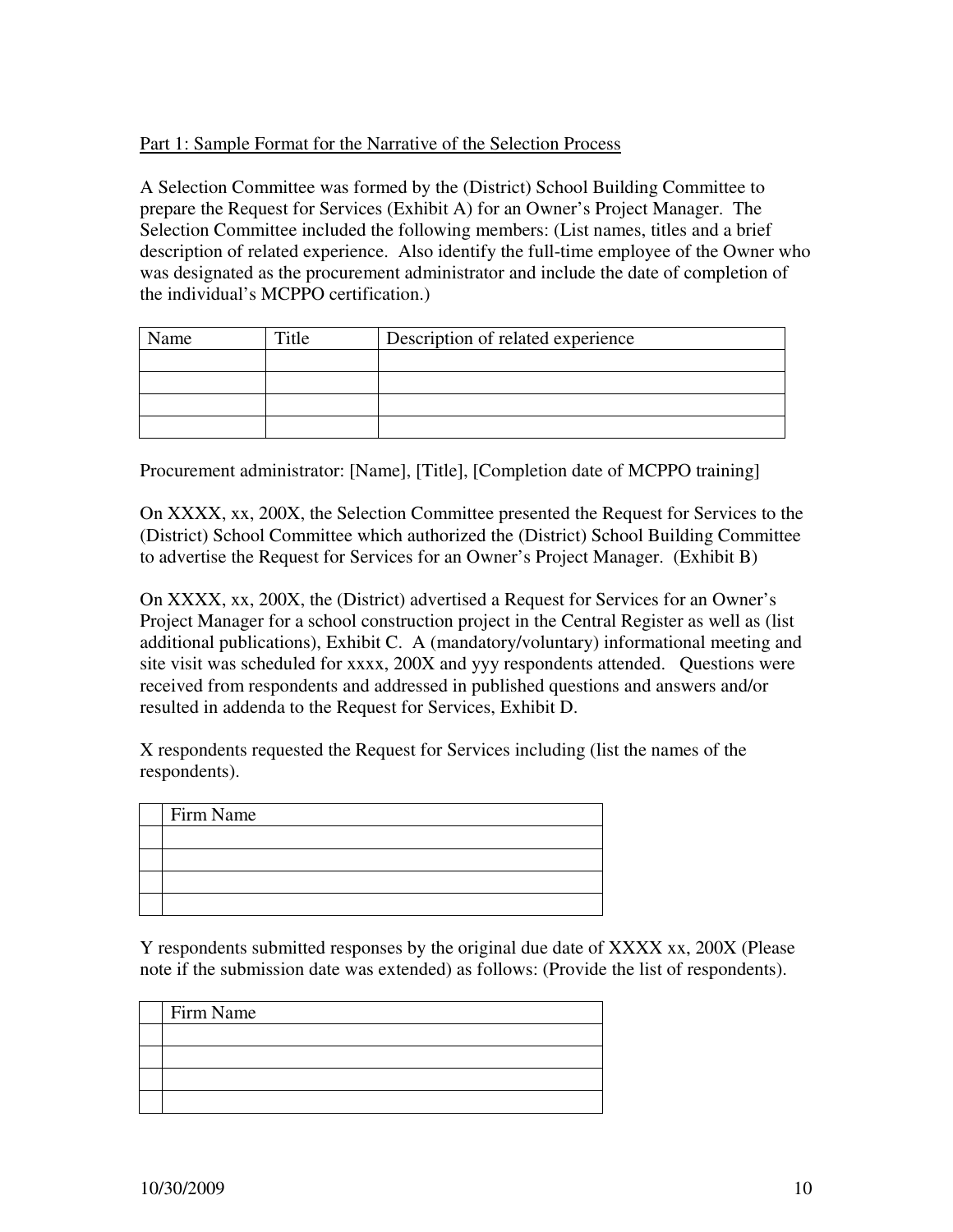### Part 1: Sample Format for the Narrative of the Selection Process

A Selection Committee was formed by the (District) School Building Committee to prepare the Request for Services (Exhibit A) for an Owner's Project Manager. The Selection Committee included the following members: (List names, titles and a brief description of related experience. Also identify the full-time employee of the Owner who was designated as the procurement administrator and include the date of completion of the individual's MCPPO certification.)

| Name | Title | Description of related experience |  |  |
|------|-------|-----------------------------------|--|--|
|      |       |                                   |  |  |
|      |       |                                   |  |  |
|      |       |                                   |  |  |
|      |       |                                   |  |  |

Procurement administrator: [Name], [Title], [Completion date of MCPPO training]

On XXXX, xx, 200X, the Selection Committee presented the Request for Services to the (District) School Committee which authorized the (District) School Building Committee to advertise the Request for Services for an Owner's Project Manager. (Exhibit B)

On XXXX, xx, 200X, the (District) advertised a Request for Services for an Owner's Project Manager for a school construction project in the Central Register as well as (list additional publications), Exhibit C. A (mandatory/voluntary) informational meeting and site visit was scheduled for xxxx, 200X and yyy respondents attended. Questions were received from respondents and addressed in published questions and answers and/or resulted in addenda to the Request for Services, Exhibit D.

X respondents requested the Request for Services including (list the names of the respondents).

| Firm Name |
|-----------|
|           |
|           |
|           |
|           |

Y respondents submitted responses by the original due date of XXXX xx, 200X (Please note if the submission date was extended) as follows: (Provide the list of respondents).

| Firm Name |
|-----------|
|           |
|           |
|           |
|           |
|           |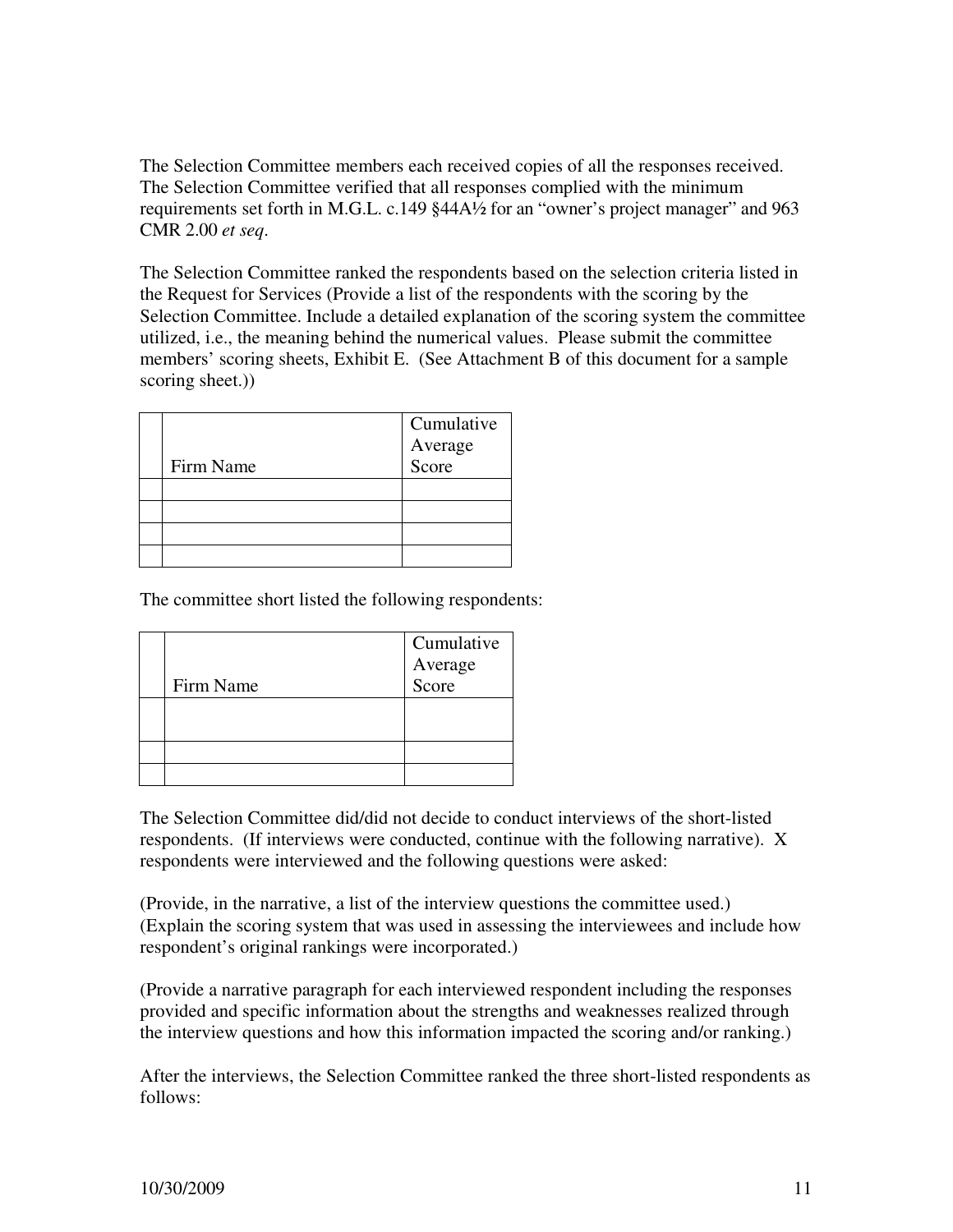The Selection Committee members each received copies of all the responses received. The Selection Committee verified that all responses complied with the minimum requirements set forth in M.G.L. c.149 §44A½ for an "owner's project manager" and 963 CMR 2.00 *et seq*.

The Selection Committee ranked the respondents based on the selection criteria listed in the Request for Services (Provide a list of the respondents with the scoring by the Selection Committee. Include a detailed explanation of the scoring system the committee utilized, i.e., the meaning behind the numerical values. Please submit the committee members' scoring sheets, Exhibit E. (See Attachment B of this document for a sample scoring sheet.)

|           | Cumulative       |
|-----------|------------------|
| Firm Name | Average<br>Score |
|           |                  |
|           |                  |
|           |                  |
|           |                  |

The committee short listed the following respondents:

|           | Cumulative       |
|-----------|------------------|
|           | Average<br>Score |
| Firm Name |                  |
|           |                  |
|           |                  |
|           |                  |
|           |                  |

The Selection Committee did/did not decide to conduct interviews of the short-listed respondents. (If interviews were conducted, continue with the following narrative). X respondents were interviewed and the following questions were asked:

(Provide, in the narrative, a list of the interview questions the committee used.) (Explain the scoring system that was used in assessing the interviewees and include how respondent's original rankings were incorporated.)

(Provide a narrative paragraph for each interviewed respondent including the responses provided and specific information about the strengths and weaknesses realized through the interview questions and how this information impacted the scoring and/or ranking.)

After the interviews, the Selection Committee ranked the three short-listed respondents as follows: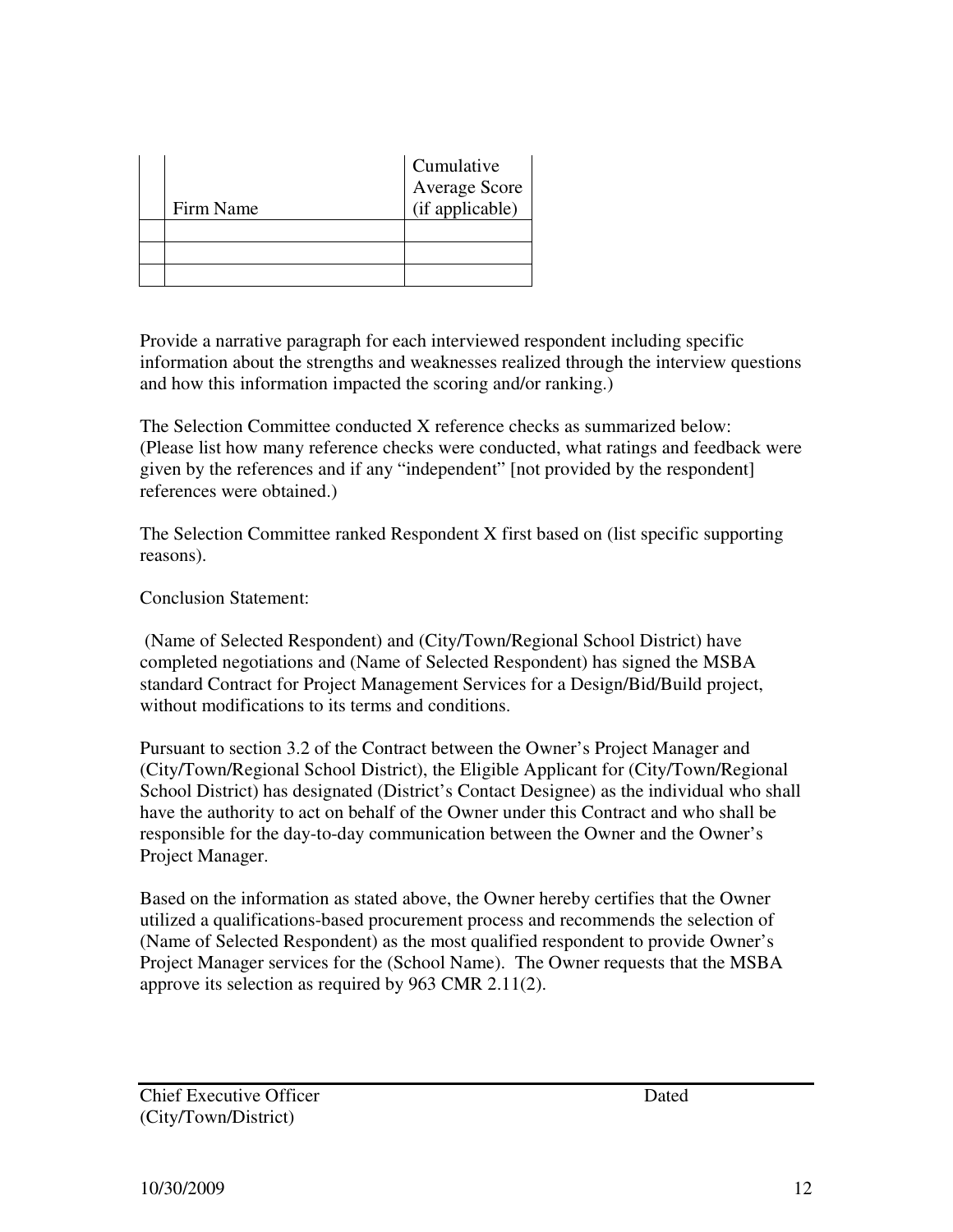|           | Cumulative<br>Average Score |
|-----------|-----------------------------|
| Firm Name | (if applicable)             |
|           |                             |
|           |                             |
|           |                             |

Provide a narrative paragraph for each interviewed respondent including specific information about the strengths and weaknesses realized through the interview questions and how this information impacted the scoring and/or ranking.)

The Selection Committee conducted X reference checks as summarized below: (Please list how many reference checks were conducted, what ratings and feedback were given by the references and if any "independent" [not provided by the respondent] references were obtained.)

The Selection Committee ranked Respondent X first based on (list specific supporting reasons).

Conclusion Statement:

 (Name of Selected Respondent) and (City/Town/Regional School District) have completed negotiations and (Name of Selected Respondent) has signed the MSBA standard Contract for Project Management Services for a Design/Bid/Build project, without modifications to its terms and conditions.

Pursuant to section 3.2 of the Contract between the Owner's Project Manager and (City/Town/Regional School District), the Eligible Applicant for (City/Town/Regional School District) has designated (District's Contact Designee) as the individual who shall have the authority to act on behalf of the Owner under this Contract and who shall be responsible for the day-to-day communication between the Owner and the Owner's Project Manager.

Based on the information as stated above, the Owner hereby certifies that the Owner utilized a qualifications-based procurement process and recommends the selection of (Name of Selected Respondent) as the most qualified respondent to provide Owner's Project Manager services for the (School Name). The Owner requests that the MSBA approve its selection as required by 963 CMR 2.11(2).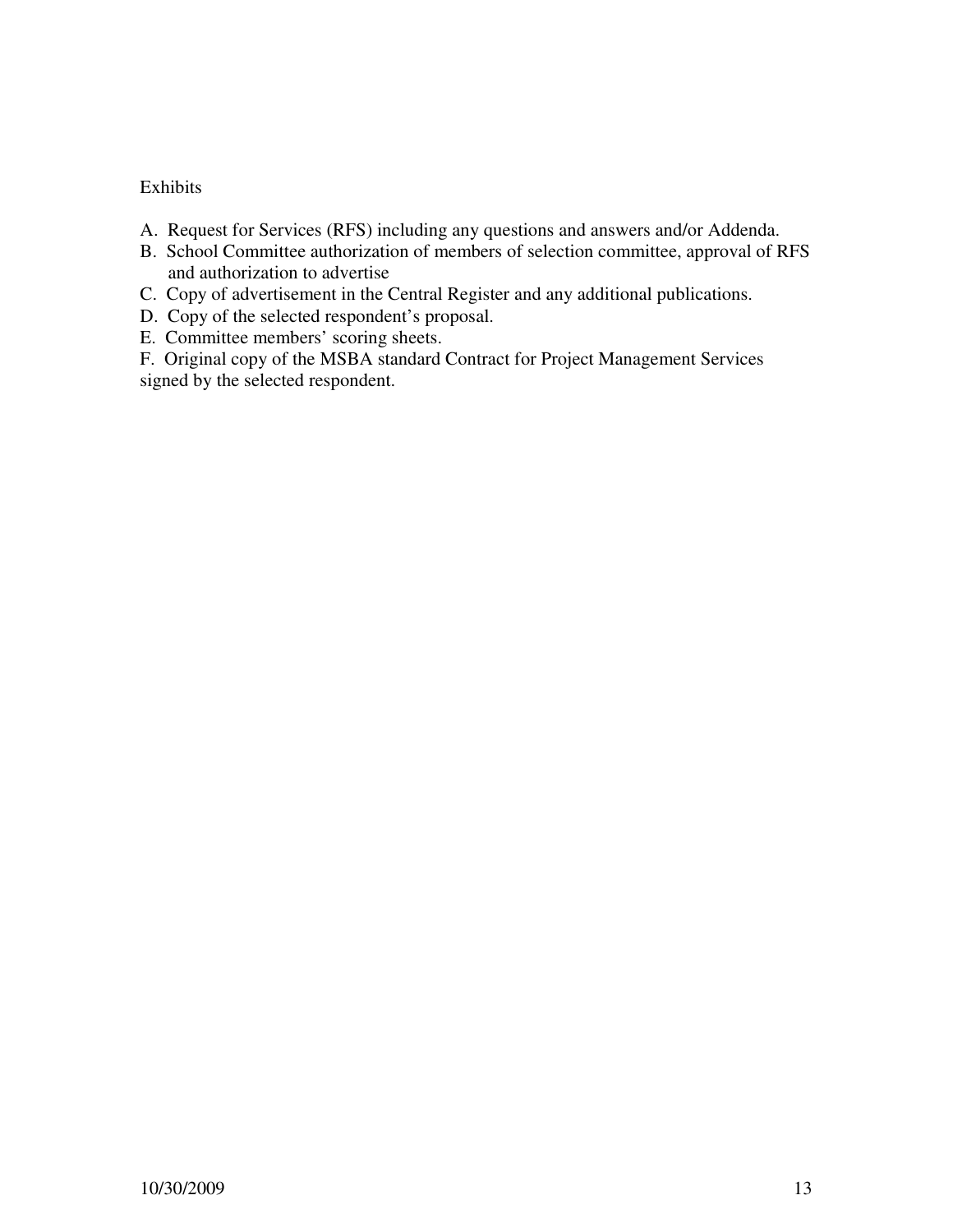### Exhibits

- A. Request for Services (RFS) including any questions and answers and/or Addenda.
- B. School Committee authorization of members of selection committee, approval of RFS and authorization to advertise
- C. Copy of advertisement in the Central Register and any additional publications.
- D. Copy of the selected respondent's proposal.
- E. Committee members' scoring sheets.

F. Original copy of the MSBA standard Contract for Project Management Services signed by the selected respondent.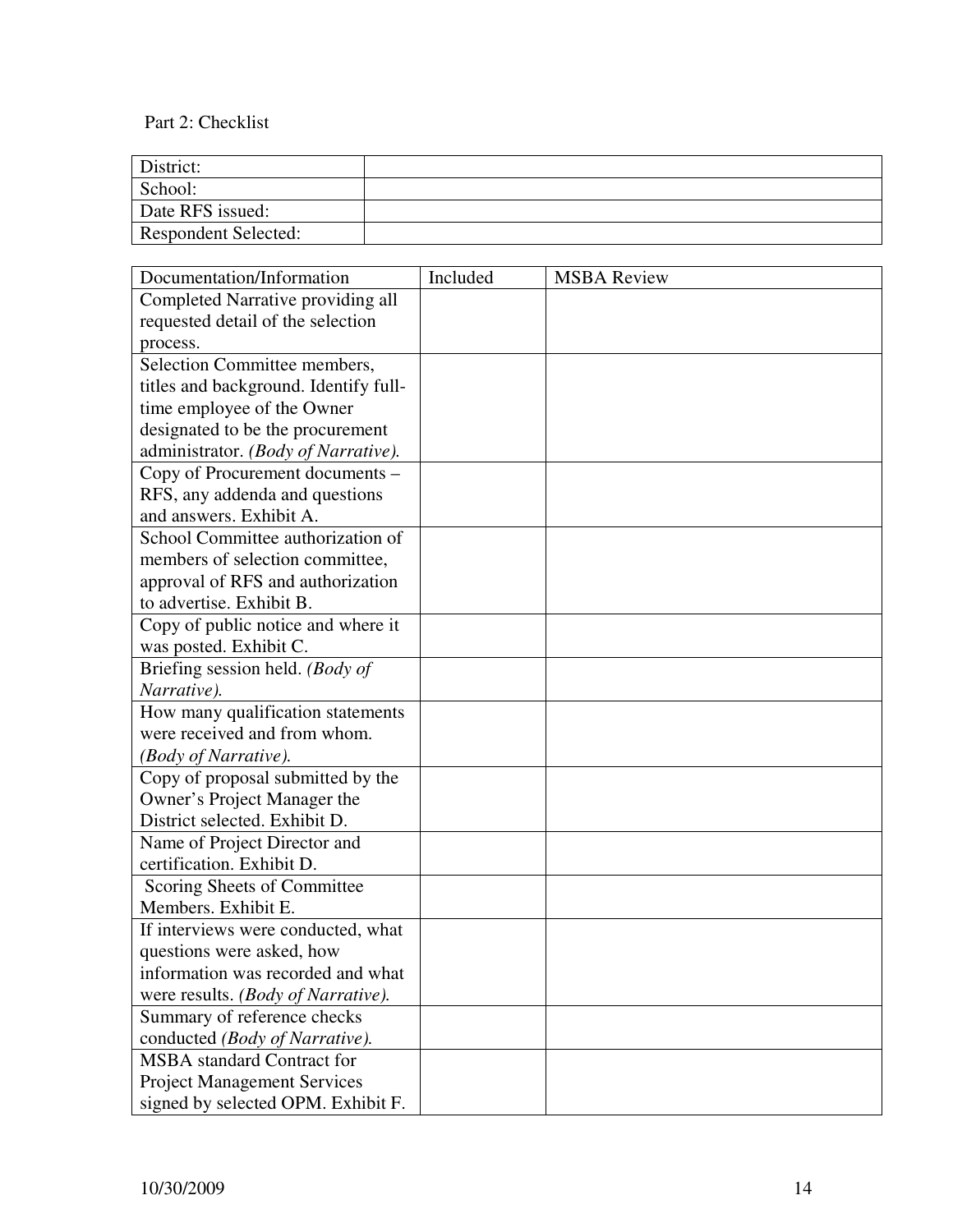## Part 2: Checklist

| District:                   |  |
|-----------------------------|--|
| School:                     |  |
| Date RFS issued:            |  |
| <b>Respondent Selected:</b> |  |

| Documentation/Information             | Included | <b>MSBA Review</b> |
|---------------------------------------|----------|--------------------|
| Completed Narrative providing all     |          |                    |
| requested detail of the selection     |          |                    |
| process.                              |          |                    |
| Selection Committee members,          |          |                    |
| titles and background. Identify full- |          |                    |
| time employee of the Owner            |          |                    |
| designated to be the procurement      |          |                    |
| administrator. (Body of Narrative).   |          |                    |
| Copy of Procurement documents -       |          |                    |
| RFS, any addenda and questions        |          |                    |
| and answers. Exhibit A.               |          |                    |
| School Committee authorization of     |          |                    |
| members of selection committee,       |          |                    |
| approval of RFS and authorization     |          |                    |
| to advertise. Exhibit B.              |          |                    |
| Copy of public notice and where it    |          |                    |
| was posted. Exhibit C.                |          |                    |
| Briefing session held. (Body of       |          |                    |
| Narrative).                           |          |                    |
| How many qualification statements     |          |                    |
| were received and from whom.          |          |                    |
| (Body of Narrative).                  |          |                    |
| Copy of proposal submitted by the     |          |                    |
| Owner's Project Manager the           |          |                    |
| District selected. Exhibit D.         |          |                    |
| Name of Project Director and          |          |                    |
| certification. Exhibit D.             |          |                    |
| Scoring Sheets of Committee           |          |                    |
| Members. Exhibit E.                   |          |                    |
| If interviews were conducted, what    |          |                    |
| questions were asked, how             |          |                    |
| information was recorded and what     |          |                    |
| were results. (Body of Narrative).    |          |                    |
| Summary of reference checks           |          |                    |
| conducted (Body of Narrative).        |          |                    |
| <b>MSBA</b> standard Contract for     |          |                    |
| <b>Project Management Services</b>    |          |                    |
| signed by selected OPM. Exhibit F.    |          |                    |